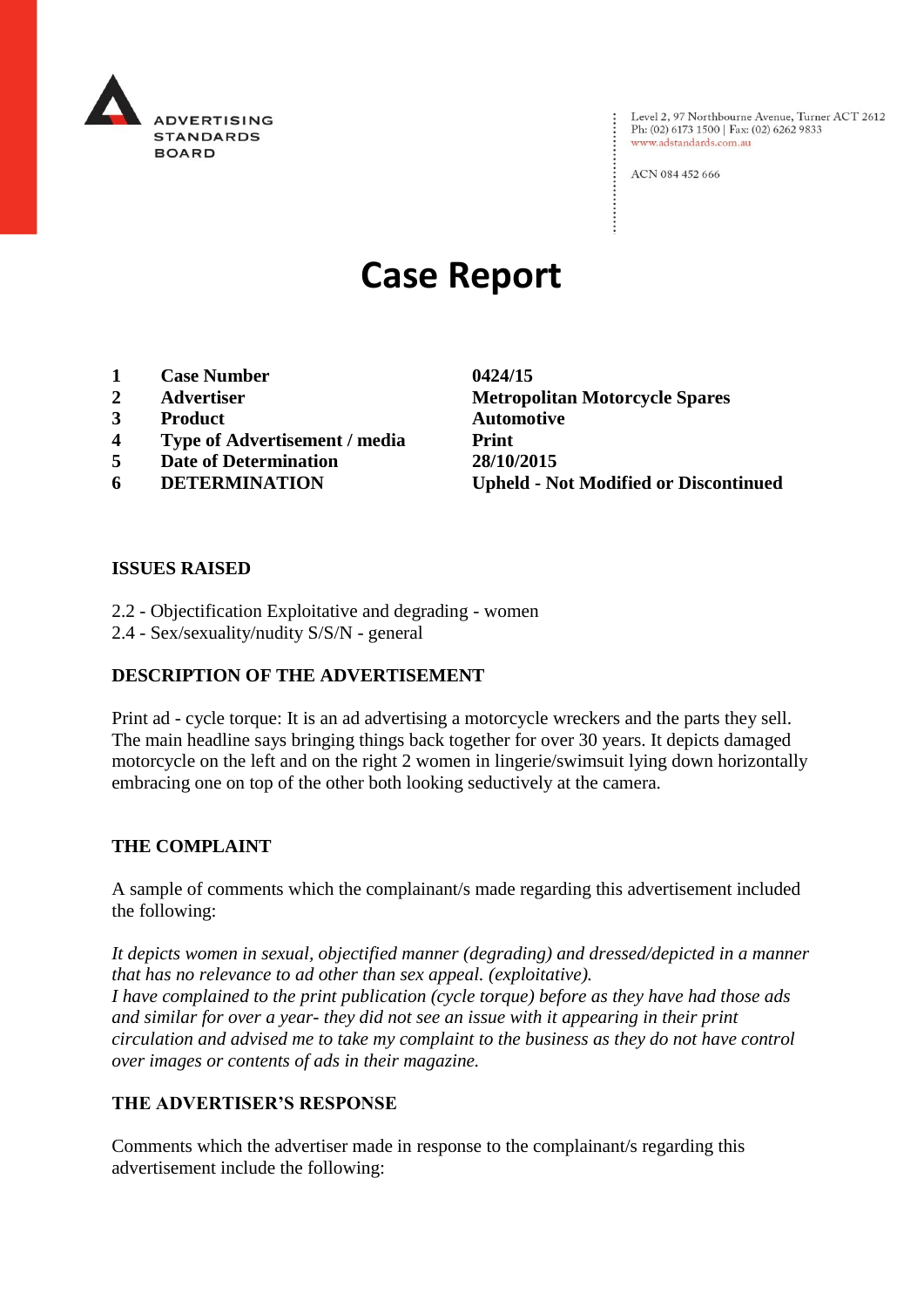

Level 2, 97 Northbourne Avenue, Turner ACT 2612 Ph: (02) 6173 1500 | Fax: (02) 6262 9833 www.adstandards.com.au

ACN 084 452 666

# **Case Report**

- **1 Case Number 0424/15**
- 
- **3 Product Automotive**
- **4 Type of Advertisement / media Print**
- **5 Date of Determination 28/10/2015**
- 

**2 Advertiser Metropolitan Motorcycle Spares 6 DETERMINATION Upheld - Not Modified or Discontinued**

#### **ISSUES RAISED**

- 2.2 Objectification Exploitative and degrading women
- 2.4 Sex/sexuality/nudity S/S/N general

## **DESCRIPTION OF THE ADVERTISEMENT**

Print ad - cycle torque: It is an ad advertising a motorcycle wreckers and the parts they sell. The main headline says bringing things back together for over 30 years. It depicts damaged motorcycle on the left and on the right 2 women in lingerie/swimsuit lying down horizontally embracing one on top of the other both looking seductively at the camera.

#### **THE COMPLAINT**

A sample of comments which the complainant/s made regarding this advertisement included the following:

*It depicts women in sexual, objectified manner (degrading) and dressed/depicted in a manner that has no relevance to ad other than sex appeal. (exploitative). I have complained to the print publication (cycle torque) before as they have had those ads and similar for over a year- they did not see an issue with it appearing in their print circulation and advised me to take my complaint to the business as they do not have control over images or contents of ads in their magazine.*

#### **THE ADVERTISER'S RESPONSE**

Comments which the advertiser made in response to the complainant/s regarding this advertisement include the following: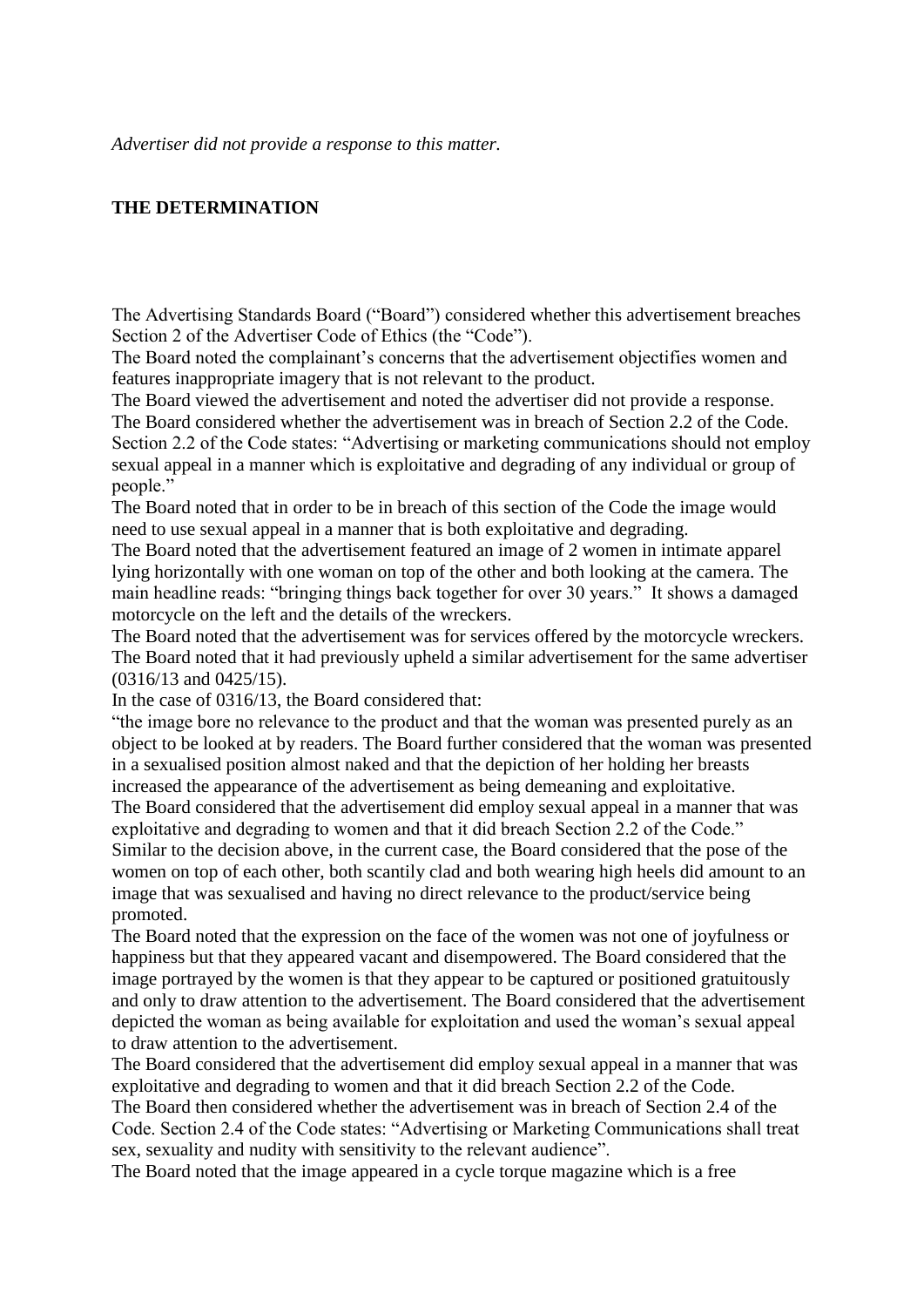### **THE DETERMINATION**

The Advertising Standards Board ("Board") considered whether this advertisement breaches Section 2 of the Advertiser Code of Ethics (the "Code").

The Board noted the complainant's concerns that the advertisement objectifies women and features inappropriate imagery that is not relevant to the product.

The Board viewed the advertisement and noted the advertiser did not provide a response. The Board considered whether the advertisement was in breach of Section 2.2 of the Code. Section 2.2 of the Code states: "Advertising or marketing communications should not employ sexual appeal in a manner which is exploitative and degrading of any individual or group of people."

The Board noted that in order to be in breach of this section of the Code the image would need to use sexual appeal in a manner that is both exploitative and degrading.

The Board noted that the advertisement featured an image of 2 women in intimate apparel lying horizontally with one woman on top of the other and both looking at the camera. The main headline reads: "bringing things back together for over 30 years." It shows a damaged motorcycle on the left and the details of the wreckers.

The Board noted that the advertisement was for services offered by the motorcycle wreckers. The Board noted that it had previously upheld a similar advertisement for the same advertiser (0316/13 and 0425/15).

In the case of 0316/13, the Board considered that:

"the image bore no relevance to the product and that the woman was presented purely as an object to be looked at by readers. The Board further considered that the woman was presented in a sexualised position almost naked and that the depiction of her holding her breasts increased the appearance of the advertisement as being demeaning and exploitative. The Board considered that the advertisement did employ sexual appeal in a manner that was exploitative and degrading to women and that it did breach Section 2.2 of the Code." Similar to the decision above, in the current case, the Board considered that the pose of the women on top of each other, both scantily clad and both wearing high heels did amount to an image that was sexualised and having no direct relevance to the product/service being promoted.

The Board noted that the expression on the face of the women was not one of joyfulness or happiness but that they appeared vacant and disempowered. The Board considered that the image portrayed by the women is that they appear to be captured or positioned gratuitously and only to draw attention to the advertisement. The Board considered that the advertisement depicted the woman as being available for exploitation and used the woman's sexual appeal to draw attention to the advertisement.

The Board considered that the advertisement did employ sexual appeal in a manner that was exploitative and degrading to women and that it did breach Section 2.2 of the Code. The Board then considered whether the advertisement was in breach of Section 2.4 of the Code. Section 2.4 of the Code states: "Advertising or Marketing Communications shall treat sex, sexuality and nudity with sensitivity to the relevant audience".

The Board noted that the image appeared in a cycle torque magazine which is a free